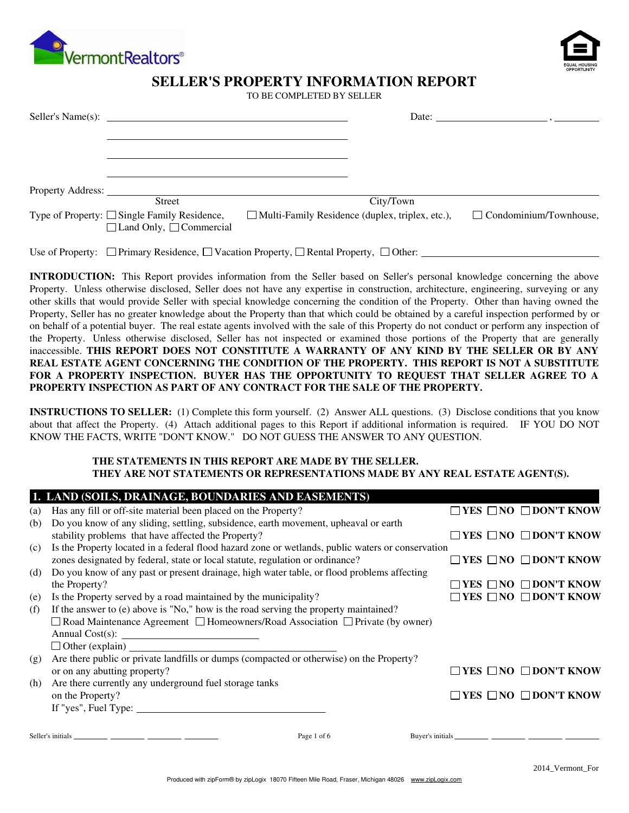



# **SELLER'S PROPERTY INFORMATION REPORT**

TO BE COMPLETED BY SELLER

|                   |                                                                                                            |  | Date: $\qquad \qquad$                                  |                               |  |
|-------------------|------------------------------------------------------------------------------------------------------------|--|--------------------------------------------------------|-------------------------------|--|
|                   |                                                                                                            |  |                                                        |                               |  |
|                   |                                                                                                            |  |                                                        |                               |  |
| Property Address: | <b>Street</b>                                                                                              |  | City/Town                                              |                               |  |
|                   | Type of Property: $\Box$ Single Family Residence,<br>$\Box$ Land Only, $\Box$ Commercial                   |  | $\Box$ Multi-Family Residence (duplex, triplex, etc.), | $\Box$ Condominium/Townhouse, |  |
|                   | Use of Property: $\Box$ Primary Residence, $\Box$ Vacation Property, $\Box$ Rental Property, $\Box$ Other: |  |                                                        |                               |  |

**INTRODUCTION:** This Report provides information from the Seller based on Seller's personal knowledge concerning the above Property. Unless otherwise disclosed, Seller does not have any expertise in construction, architecture, engineering, surveying or any other skills that would provide Seller with special knowledge concerning the condition of the Property. Other than having owned the Property, Seller has no greater knowledge about the Property than that which could be obtained by a careful inspection performed by or on behalf of a potential buyer. The real estate agents involved with the sale of this Property do not conduct or perform any inspection of the Property. Unless otherwise disclosed, Seller has not inspected or examined those portions of the Property that are generally inaccessible. **THIS REPORT DOES NOT CONSTITUTE A WARRANTY OF ANY KIND BY THE SELLER OR BY ANY REAL ESTATE AGENT CONCERNING THE CONDITION OF THE PROPERTY. THIS REPORT IS NOT A SUBSTITUTE FOR A PROPERTY INSPECTION. BUYER HAS THE OPPORTUNITY TO REQUEST THAT SELLER AGREE TO A PROPERTY INSPECTION AS PART OF ANY CONTRACT FOR THE SALE OF THE PROPERTY.**

**INSTRUCTIONS TO SELLER:** (1) Complete this form yourself. (2) Answer ALL questions. (3) Disclose conditions that you know about that affect the Property. (4) Attach additional pages to this Report if additional information is required. IF YOU DO NOT KNOW THE FACTS, WRITE "DON'T KNOW." DO NOT GUESS THE ANSWER TO ANY QUESTION.

#### **THE STATEMENTS IN THIS REPORT ARE MADE BY THE SELLER. THEY ARE NOT STATEMENTS OR REPRESENTATIONS MADE BY ANY REAL ESTATE AGENT(S).**

|     | 1. LAND (SOILS, DRAINAGE, BOUNDARIES AND EASEMENTS)                                               |                                                 |
|-----|---------------------------------------------------------------------------------------------------|-------------------------------------------------|
| (a) | Has any fill or off-site material been placed on the Property?                                    | $\square$ YES $\square$ NO $\square$ DON'T KNOW |
| (b) | Do you know of any sliding, settling, subsidence, earth movement, upheaval or earth               |                                                 |
|     | stability problems that have affected the Property?                                               | $\Box$ YES $\Box$ NO $\Box$ DON'T KNOW          |
| (c) | Is the Property located in a federal flood hazard zone or wetlands, public waters or conservation |                                                 |
|     | zones designated by federal, state or local statute, regulation or ordinance?                     | $\Box$ YES $\Box$ NO $\Box$ DON'T KNOW          |
| (d) | Do you know of any past or present drainage, high water table, or flood problems affecting        |                                                 |
|     | the Property?                                                                                     | YES $\Box$ NO $\Box$ DON'T KNOW                 |
| (e) | Is the Property served by a road maintained by the municipality?                                  | $\Box$ YES $\Box$ NO $\Box$ DON'T KNOW          |
| (f) | If the answer to (e) above is "No," how is the road serving the property maintained?              |                                                 |
|     | $\Box$ Road Maintenance Agreement $\Box$ Homeowners/Road Association $\Box$ Private (by owner)    |                                                 |
|     |                                                                                                   |                                                 |
|     | $\Box$ Other (explain) $\Box$                                                                     |                                                 |
| (g) | Are there public or private landfills or dumps (compacted or otherwise) on the Property?          |                                                 |
|     | or on any abutting property?                                                                      | $\Box$ YES $\Box$ NO $\Box$ DON'T KNOW          |
| (h) | Are there currently any underground fuel storage tanks                                            |                                                 |
|     | on the Property?                                                                                  | $\Box$ YES $\Box$ NO $\Box$ DON'T KNOW          |
|     | If "yes", Fuel Type: $\sqrt{\frac{2}{1-\frac{1}{2}} \left(\frac{1}{2}-\frac{1}{2}\right)^2}$      |                                                 |
|     | Page 1 of 6                                                                                       |                                                 |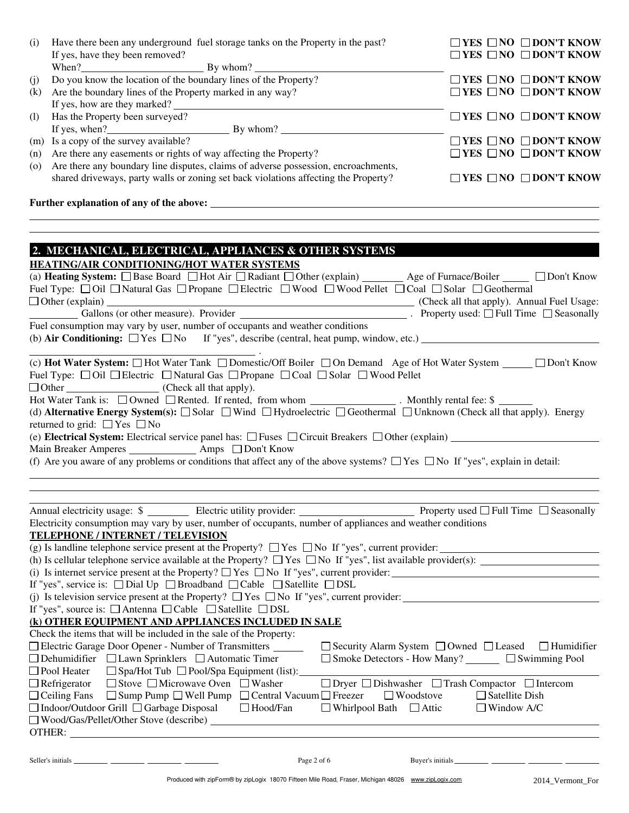| (i) | Have there been any underground fuel storage tanks on the Property in the past?                                                                                                                                                                                                                                                                                                                                                                                                                                                                                                            | $\Box$ YES $\Box$ NO $\Box$ DON'T KNOW                                              |
|-----|--------------------------------------------------------------------------------------------------------------------------------------------------------------------------------------------------------------------------------------------------------------------------------------------------------------------------------------------------------------------------------------------------------------------------------------------------------------------------------------------------------------------------------------------------------------------------------------------|-------------------------------------------------------------------------------------|
|     | If yes, have they been removed?                                                                                                                                                                                                                                                                                                                                                                                                                                                                                                                                                            | $\Box$ YES $\Box$ NO $\Box$ DON'T KNOW                                              |
| (j) | Do you know the location of the boundary lines of the Property?                                                                                                                                                                                                                                                                                                                                                                                                                                                                                                                            | $\Box$ YES $\Box$ NO $\Box$ DON'T KNOW                                              |
| (k) | Are the boundary lines of the Property marked in any way?                                                                                                                                                                                                                                                                                                                                                                                                                                                                                                                                  | $\Box$ YES $\Box$ NO $\Box$ DON'T KNOW                                              |
|     | If yes, how are they marked?                                                                                                                                                                                                                                                                                                                                                                                                                                                                                                                                                               |                                                                                     |
| (1) | Has the Property been surveyed?                                                                                                                                                                                                                                                                                                                                                                                                                                                                                                                                                            | $\Box$ YES $\Box$ NO $\Box$ DON'T KNOW                                              |
|     |                                                                                                                                                                                                                                                                                                                                                                                                                                                                                                                                                                                            |                                                                                     |
| (m) | Is a copy of the survey available?                                                                                                                                                                                                                                                                                                                                                                                                                                                                                                                                                         | $\Box$ YES $\Box$ NO $\Box$ DON'T KNOW                                              |
| (n) | Are there any easements or rights of way affecting the Property?                                                                                                                                                                                                                                                                                                                                                                                                                                                                                                                           | $\Box$ YES $\Box$ NO $\Box$ DON'T KNOW                                              |
| (o) | Are there any boundary line disputes, claims of adverse possession, encroachments,                                                                                                                                                                                                                                                                                                                                                                                                                                                                                                         |                                                                                     |
|     | shared driveways, party walls or zoning set back violations affecting the Property?                                                                                                                                                                                                                                                                                                                                                                                                                                                                                                        | $\Box$ YES $\Box$ NO $\Box$ DON'T KNOW                                              |
|     |                                                                                                                                                                                                                                                                                                                                                                                                                                                                                                                                                                                            |                                                                                     |
|     | 2. MECHANICAL, ELECTRICAL, APPLIANCES & OTHER SYSTEMS<br>HEATING/AIR CONDITIONING/HOT WATER SYSTEMS<br>(a) Heating System: □ Base Board □ Hot Air □ Radiant □ Other (explain) _______ Age of Furnace/Boiler _____ □ Don't Know<br>Fuel Type: □ Oil □ Natural Gas □ Propane □ Electric □ Wood □ Wood Pellet □ Coal □ Solar □ Geothermal                                                                                                                                                                                                                                                     |                                                                                     |
|     | $\Box$ Other (explain) $\Box$                                                                                                                                                                                                                                                                                                                                                                                                                                                                                                                                                              | (Check all that apply). Annual Fuel Usage:                                          |
|     |                                                                                                                                                                                                                                                                                                                                                                                                                                                                                                                                                                                            |                                                                                     |
|     | Fuel consumption may vary by user, number of occupants and weather conditions                                                                                                                                                                                                                                                                                                                                                                                                                                                                                                              |                                                                                     |
|     | Hot Water Tank is: □ Owned □ Rented. If rented, from whom _______________. Monthly rental fee: \$<br>(d) Alternative Energy System(s): □ Solar □ Wind □ Hydroelectric □ Geothermal □ Unknown (Check all that apply). Energy<br>returned to grid: $\Box$ Yes $\Box$ No<br>(e) Electrical System: Electrical service panel has: □ Fuses □ Circuit Breakers □ Other (explain) ________<br>Main Breaker Amperes ________________ Amps __ Don't Know<br>(f) Are you aware of any problems or conditions that affect any of the above systems? $\Box$ Yes $\Box$ No If "yes", explain in detail: |                                                                                     |
|     | Annual electricity usage: $\frac{1}{2}$ Electric utility provider: Property used $\Box$ Full Time $\Box$ Seasonally                                                                                                                                                                                                                                                                                                                                                                                                                                                                        |                                                                                     |
|     | Electricity consumption may vary by user, number of occupants, number of appliances and weather conditions                                                                                                                                                                                                                                                                                                                                                                                                                                                                                 |                                                                                     |
|     | <b>TELEPHONE / INTERNET / TELEVISION</b>                                                                                                                                                                                                                                                                                                                                                                                                                                                                                                                                                   |                                                                                     |
|     | (g) Is landline telephone service present at the Property? $\Box$ Yes $\Box$ No If "yes", current provider:                                                                                                                                                                                                                                                                                                                                                                                                                                                                                |                                                                                     |
|     |                                                                                                                                                                                                                                                                                                                                                                                                                                                                                                                                                                                            |                                                                                     |
|     |                                                                                                                                                                                                                                                                                                                                                                                                                                                                                                                                                                                            |                                                                                     |
|     | If "yes", service is: $\Box$ Dial Up $\Box$ Broadband $\Box$ Cable $\Box$ Satellite $\Box$ DSL                                                                                                                                                                                                                                                                                                                                                                                                                                                                                             |                                                                                     |
|     | (j) Is television service present at the Property? $\Box$ Yes $\Box$ No If "yes", current provider:                                                                                                                                                                                                                                                                                                                                                                                                                                                                                        |                                                                                     |
|     | If "yes", source is: $\Box$ Antenna $\Box$ Cable $\Box$ Satellite $\Box$ DSL                                                                                                                                                                                                                                                                                                                                                                                                                                                                                                               |                                                                                     |
|     | (k) OTHER EQUIPMENT AND APPLIANCES INCLUDED IN SALE                                                                                                                                                                                                                                                                                                                                                                                                                                                                                                                                        |                                                                                     |
|     | Check the items that will be included in the sale of the Property:                                                                                                                                                                                                                                                                                                                                                                                                                                                                                                                         |                                                                                     |
|     | □ Electric Garage Door Opener - Number of Transmitters _______                                                                                                                                                                                                                                                                                                                                                                                                                                                                                                                             | $\Box$ Security Alarm System $\Box$ Owned $\Box$ Leased $\Box$ Humidifier           |
|     | $\Box$ Dehumidifier $\Box$ Lawn Sprinklers $\Box$ Automatic Timer                                                                                                                                                                                                                                                                                                                                                                                                                                                                                                                          | □ Smoke Detectors - How Many? □ □ Swimming Pool                                     |
|     | $\Box$ Spa/Hot Tub $\Box$ Pool/Spa Equipment (list):<br>$\Box$ Pool Heater                                                                                                                                                                                                                                                                                                                                                                                                                                                                                                                 |                                                                                     |
|     | $\Box$ Stove $\Box$ Microwave Oven $\Box$ Washer<br>$\Box$ Refrigerator                                                                                                                                                                                                                                                                                                                                                                                                                                                                                                                    | $\Box$ Dryer $\Box$ Dishwasher $\hfill \Box$ Trash Compactor $\hfill \Box$ Intercom |
|     | $\Box$ Sump Pump $\Box$ Well Pump $\Box$ Central Vacuum $\Box$ Freezer<br>$\Box$ Ceiling Fans                                                                                                                                                                                                                                                                                                                                                                                                                                                                                              | $\Box$ Satellite Dish<br>$\Box$ Woodstove                                           |
|     | $\Box$ Indoor/Outdoor Grill $\Box$ Garbage Disposal $\Box$ Hood/Fan<br>$\Box$ Whirlpool Bath $\Box$ Attic                                                                                                                                                                                                                                                                                                                                                                                                                                                                                  | $\Box$ Window A/C                                                                   |
|     |                                                                                                                                                                                                                                                                                                                                                                                                                                                                                                                                                                                            |                                                                                     |
|     |                                                                                                                                                                                                                                                                                                                                                                                                                                                                                                                                                                                            |                                                                                     |
|     |                                                                                                                                                                                                                                                                                                                                                                                                                                                                                                                                                                                            |                                                                                     |

| Seller's initials |  |  |  |
|-------------------|--|--|--|
|                   |  |  |  |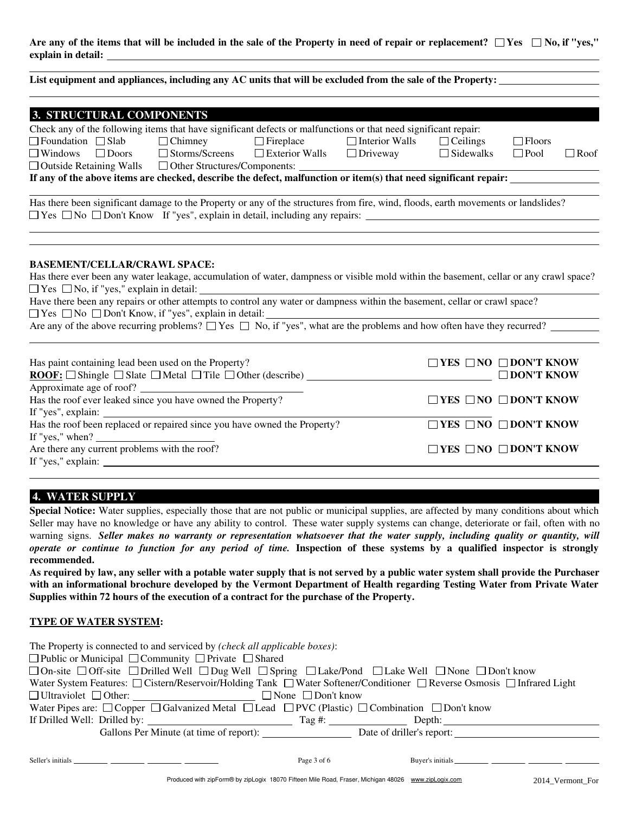Are any of the items that will be included in the sale of the Property in need of repair or replacement?  $\Box$  Yes  $\Box$  No, if "yes," **explain in detail:**

| 3. STRUCTURAL COMPONENTS                                                                                                                                                                                                                |  |                       |                                        |                   |             |
|-----------------------------------------------------------------------------------------------------------------------------------------------------------------------------------------------------------------------------------------|--|-----------------------|----------------------------------------|-------------------|-------------|
| Check any of the following items that have significant defects or malfunctions or that need significant repair:                                                                                                                         |  |                       |                                        |                   |             |
| $\Box$ Foundation $\Box$ Slab $\Box$ Chimney $\Box$ Fireplace                                                                                                                                                                           |  | $\Box$ Interior Walls | $\Box$ Ceilings                        | $\Box$ Floors     |             |
| $\Box$ Windows $\Box$ Doors $\Box$ Storms/Screens $\Box$ Exterior Walls $\Box$ Driveway $\Box$ Sidewalks                                                                                                                                |  |                       |                                        | $\Box$ Pool       | $\Box$ Roof |
|                                                                                                                                                                                                                                         |  |                       |                                        |                   |             |
| If any of the above items are checked, describe the defect, malfunction or item(s) that need significant repair:                                                                                                                        |  |                       |                                        |                   |             |
| Has there been significant damage to the Property or any of the structures from fire, wind, floods, earth movements or landslides?<br>$\Box$ Yes $\Box$ No $\Box$ Don't Know If "yes", explain in detail, including any repairs: $\Box$ |  |                       |                                        |                   |             |
| <b>BASEMENT/CELLAR/CRAWL SPACE:</b><br>Has there ever been any water leakage, accumulation of water, dampness or visible mold within the basement, cellar or any crawl space?                                                           |  |                       |                                        |                   |             |
| $\Box$ Yes $\Box$ No, if "yes," explain in detail:                                                                                                                                                                                      |  |                       |                                        |                   |             |
| Have there been any repairs or other attempts to control any water or dampness within the basement, cellar or crawl space?                                                                                                              |  |                       |                                        |                   |             |
| $\Box$ Yes $\Box$ No $\Box$ Don't Know, if "yes", explain in detail:                                                                                                                                                                    |  |                       |                                        |                   |             |
| Are any of the above recurring problems? $\Box$ Yes $\Box$ No, if "yes", what are the problems and how often have they recurred?                                                                                                        |  |                       |                                        |                   |             |
| Has paint containing lead been used on the Property?<br>Approximate age of roof?                                                                                                                                                        |  |                       | $\Box$ YES $\Box$ NO $\Box$ DON'T KNOW | $\Box$ DON'T KNOW |             |
| Has the roof ever leaked since you have owned the Property?                                                                                                                                                                             |  |                       | $\Box$ YES $\Box$ NO $\Box$ DON'T KNOW |                   |             |
| If "yes", explain: $\qquad \qquad$                                                                                                                                                                                                      |  |                       |                                        |                   |             |
| Has the roof been replaced or repaired since you have owned the Property?<br>If "yes," when? $\frac{1}{\sqrt{1-\frac{1}{2}}\sqrt{1-\frac{1}{2}}\sqrt{1-\frac{1}{2}}\sqrt{1-\frac{1}{2}}}}$                                              |  |                       | $\Box$ YES $\Box$ NO $\Box$ DON'T KNOW |                   |             |
| Are there any current problems with the roof?                                                                                                                                                                                           |  |                       | $\Box$ YES $\Box$ NO $\Box$ DON'T KNOW |                   |             |

Are there any current problems with the roof? If "yes," explain:

# **4. WATER SUPPLY**

Special Notice: Water supplies, especially those that are not public or municipal supplies, are affected by many conditions about which Seller may have no knowledge or have any ability to control. These water supply systems can change, deteriorate or fail, often with no warning signs. *Seller makes no warranty or representation whatsoever that the water supply, including quality or quantity, will operate or continue to function for any period of time.* **Inspection of these systems by a qualified inspector is strongly recommended.**

**As required by law, any seller with a potable water supply that is not served by a public water system shall provide the Purchaser with an informational brochure developed by the Vermont Department of Health regarding Testing Water from Private Water Supplies within 72 hours of the execution of a contract for the purchase of the Property.**

#### **TYPE OF WATER SYSTEM:**

| The Property is connected to and serviced by (check all applicable boxes):                                                                       |  |  |  |  |
|--------------------------------------------------------------------------------------------------------------------------------------------------|--|--|--|--|
| $\Box$ Public or Municipal $\Box$ Community $\Box$ Private $\Box$ Shared                                                                         |  |  |  |  |
| $\Box$ On-site $\Box$ Off-site $\Box$ Drilled Well $\Box$ Dug Well $\Box$ Spring $\Box$ Lake/Pond $\Box$ Lake Well $\Box$ None $\Box$ Don't know |  |  |  |  |
| Water System Features: $\Box$ Cistern/Reservoir/Holding Tank $\Box$ Water Softener/Conditioner $\Box$ Reverse Osmosis $\Box$ Infrared Light      |  |  |  |  |
| $\Box$ Ultraviolet $\Box$ Other: $\Box$ $\Box$ None $\Box$ Don't know                                                                            |  |  |  |  |
| Water Pipes are: $\Box$ Copper $\Box$ Galvanized Metal $\Box$ Lead $\Box$ PVC (Plastic) $\Box$ Combination $\Box$ Don't know                     |  |  |  |  |
|                                                                                                                                                  |  |  |  |  |
| Gallons Per Minute (at time of report): Date of driller's report:                                                                                |  |  |  |  |
|                                                                                                                                                  |  |  |  |  |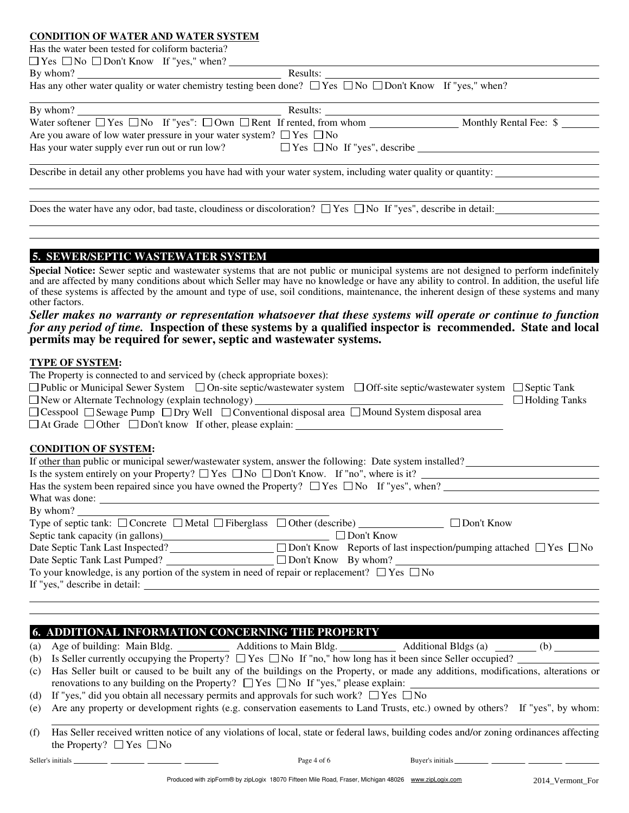## **CONDITION OF WATER AND WATER SYSTEM**

| Has the water been tested for coliform bacteria?                                                                                                                                                                               |  |  |  |  |  |  |
|--------------------------------------------------------------------------------------------------------------------------------------------------------------------------------------------------------------------------------|--|--|--|--|--|--|
| $\Box$ Yes $\Box$ No $\Box$ Don't Know If "yes," when?                                                                                                                                                                         |  |  |  |  |  |  |
| By whom? Nesults: Nesults: Nesults: Nesults: Nesults: Nesults: Nesults: Nesults: Nesults: Nesults: Nesults: Nesults: Nesults: Nesults: Nesults: Nesults: Nesults: Nesults: Nesults: Nesults: Nesults: Nesults: Nesults: Nesult |  |  |  |  |  |  |
| Has any other water quality or water chemistry testing been done? $\Box$ Yes $\Box$ No $\Box$ Don't Know If "yes," when?                                                                                                       |  |  |  |  |  |  |
|                                                                                                                                                                                                                                |  |  |  |  |  |  |
|                                                                                                                                                                                                                                |  |  |  |  |  |  |
| Are you aware of low water pressure in your water system? $\Box$ Yes $\Box$ No                                                                                                                                                 |  |  |  |  |  |  |
| Has your water supply ever run out or run low? $\Box$ Yes $\Box$ No If "yes", describe $\Box$                                                                                                                                  |  |  |  |  |  |  |
| Describe in detail any other problems you have had with your water system, including water quality or quantity:                                                                                                                |  |  |  |  |  |  |
| Does the water have any odor, bad taste, cloudiness or discoloration? $\Box$ Yes $\Box$ No If "yes", describe in detail:                                                                                                       |  |  |  |  |  |  |
|                                                                                                                                                                                                                                |  |  |  |  |  |  |
|                                                                                                                                                                                                                                |  |  |  |  |  |  |
| 5. SEWER/SEPTIC WASTEWATER SYSTEM                                                                                                                                                                                              |  |  |  |  |  |  |

#### **Special Notice:** Sewer septic and wastewater systems that are not public or municipal systems are not designed to perform indefinitely and are affected by many conditions about which Seller may have no knowledge or have any ability to control. In addition, the useful life of these systems is affected by the amount and type of use, soil conditions, maintenance, the inherent design of these systems and many other factors.

## *Seller makes no warranty or representation whatsoever that these systems will operate or continue to function for any period of time.* **Inspection of these systems by a qualified inspector is recommended. State and local permits may be required for sewer, septic and wastewater systems.**

#### **TYPE OF SYSTEM:**

| The Property is connected to and serviced by (check appropriate boxes):                                                     |                    |  |  |  |
|-----------------------------------------------------------------------------------------------------------------------------|--------------------|--|--|--|
| $\Box$ Public or Municipal Sewer System $\Box$ On-site septic/wastewater system<br>$\Box$ Off-site septic/wastewater system | $\Box$ Septic Tank |  |  |  |
| $\Box$ New or Alternate Technology (explain technology) $\Box$<br>$\Box$ Holding Tanks                                      |                    |  |  |  |
| $\Box$ Cesspool $\Box$ Sewage Pump $\Box$ Dry Well $\Box$ Conventional disposal area $\Box$ Mound System disposal area      |                    |  |  |  |
| $\Box$ At Grade $\Box$ Other $\Box$ Don't know If other, please explain:                                                    |                    |  |  |  |
|                                                                                                                             |                    |  |  |  |
| <b>CONDITION OF SYSTEM:</b>                                                                                                 |                    |  |  |  |
| If other than public or municipal sewer/wastewater system, answer the following: Date system installed?                     |                    |  |  |  |
| Is the system entirely on your Property? $\Box$ Yes $\Box$ No $\Box$ Don't Know. If "no", where is it?                      |                    |  |  |  |
| Has the system been repaired since you have owned the Property? $\Box$ Yes $\Box$ No If "yes", when?                        |                    |  |  |  |
| What was done:                                                                                                              |                    |  |  |  |
| By whom?                                                                                                                    |                    |  |  |  |
| Type of septic tank: $\Box$ Concrete $\Box$ Metal $\Box$ Fiberglass $\Box$ Other (describe) $\Box$ $\Box$ Don't Know        |                    |  |  |  |
| Septic tank capacity (in gallons)<br>$\Box$ Don't Know                                                                      |                    |  |  |  |
| Date Septic Tank Last Inspected? $\Box$ Don't Know Reports of last inspection/pumping attached $\Box$ Yes $\Box$ No         |                    |  |  |  |
|                                                                                                                             |                    |  |  |  |
|                                                                                                                             |                    |  |  |  |

To your knowledge, is any portion of the system in need of repair or replacement?  $\Box$  Yes  $\Box$  No If "yes," describe in detail:

# **6. ADDITIONAL INFORMATION CONCERNING THE PROPERTY**

| (a) Age of building: Main Bldg. $\qquad \qquad$                                                                                       | Additions to Main Bldg. | Additional Bldgs (a) (b) |  |
|---------------------------------------------------------------------------------------------------------------------------------------|-------------------------|--------------------------|--|
| (b) Is Seller currently occupying the Property? $\Box$ Yes $\Box$ No If "no," how long has it been since Seller occupied?             |                         |                          |  |
| (c) Has Seller built or caused to be built any of the buildings on the Property, or made any additions, modifications, alterations or |                         |                          |  |
| renovations to any building on the Property? $\Box$ Yes $\Box$ No If "yes," please explain:                                           |                         |                          |  |
| (d) If "yes," did you obtain all necessary permits and approvals for such work? $\square$ Yes $\square$ No                            |                         |                          |  |

- (e) Are any property or development rights (e.g. conservation easements to Land Trusts, etc.) owned by others? If "yes", by whom:
- Has Seller received written notice of any violations of local, state or federal laws, building codes and/or zoning ordinances affecting the Property?  $\Box$  Yes  $\Box$  No (f)

Seller's initials Page 4 of 6 Buyer's initials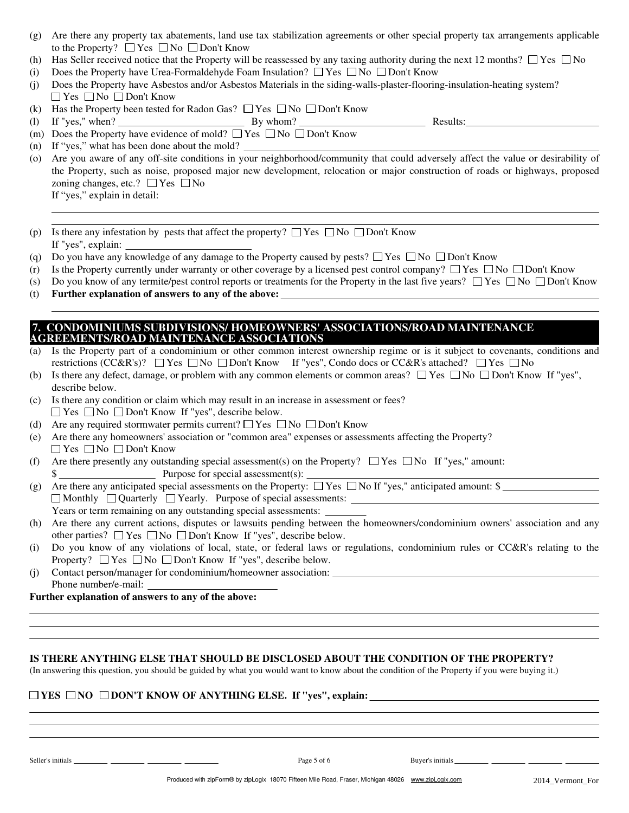- Are there any property tax abatements, land use tax stabilization agreements or other special property tax arrangements applicable (g) to the Property?  $\Box$  Yes  $\Box$  No  $\Box$  Don't Know
- (h) Has Seller received notice that the Property will be reassessed by any taxing authority during the next 12 months?  $\Box$  Yes  $\Box$  No
- (i) Does the Property have Urea-Formaldehyde Foam Insulation?  $\Box$  Yes  $\Box$  No  $\Box$  Don't Know
- (j) Does the Property have Asbestos and/or Asbestos Materials in the siding-walls-plaster-flooring-insulation-heating system?  $\Box$  Yes  $\Box$  No  $\Box$  Don't Know
- (k) Has the Property been tested for Radon Gas?  $\Box$  Yes  $\Box$  No  $\Box$  Don't Know
- (l) If "yes," when?  $\qquad \qquad$  By whom?  $\qquad \qquad$  Results:
- (m) Does the Property have evidence of mold?  $\Box$  Yes  $\Box$  No  $\Box$  Don't Know
- (n) If "yes," what has been done about the mold?
- Are you aware of any off-site conditions in your neighborhood/community that could adversely affect the value or desirability of (o) the Property, such as noise, proposed major new development, relocation or major construction of roads or highways, proposed zoning changes, etc.?  $\Box$  Yes  $\Box$  No
	- If "yes," explain in detail:
- (p) Is there any infestation by pests that affect the property?  $\Box$  Yes  $\Box$  No  $\Box$  Don't Know If "yes", explain:
- Do you have any knowledge of any damage to the Property caused by pests?  $\Box$  Yes  $\Box$  No  $\Box$  Don't Know (q)
- Is the Property currently under warranty or other coverage by a licensed pest control company?  $\Box$  Yes  $\Box$  No  $\Box$  Don't Know (r)
- Do you know of any termite/pest control reports or treatments for the Property in the last five years?  $\Box$  Yes  $\Box$  No  $\Box$  Don't Know (s)
- **Further explanation of answers to any of the above:**  $(t)$

### **7. CONDOMINIUMS SUBDIVISIONS/ HOMEOWNERS' ASSOCIATIONS/ROAD MAINTENANCE AGREEMENTS/ROAD MAINTENANCE ASSOCIATIONS**

- (a) Is the Property part of a condominium or other common interest ownership regime or is it subject to covenants, conditions and restrictions (CC&R's)?  $\Box$  Yes  $\Box$  No  $\Box$  Don't Know If "yes", Condo docs or CC&R's attached?  $\Box$  Yes  $\Box$  No
- (b) Is there any defect, damage, or problem with any common elements or common areas?  $\Box$  Yes  $\Box$  No  $\Box$  Don't Know If "yes", describe below.
- (c) Is there any condition or claim which may result in an increase in assessment or fees?  $\Box$  Yes  $\Box$  No  $\Box$  Don't Know If "yes", describe below.
- (d) Are any required stormwater permits current?  $\Box$  Yes  $\Box$  No  $\Box$  Don't Know
- (e) Are there any homeowners' association or "common area" expenses or assessments affecting the Property?  $\Box$  Yes  $\Box$  No  $\Box$  Don't Know
- (f) Are there presently any outstanding special assessment(s) on the Property?  $\Box$  Yes  $\Box$  No If "yes," amount: \$ Purpose for special assessment(s):
- (g) Are there any anticipated special assessments on the Property:  $\Box$  Yes  $\Box$  No If "yes," anticipated amount: \$

Monthly Quarterly Yearly. Purpose of special assessments:

Years or term remaining on any outstanding special assessments:

- (h) Are there any current actions, disputes or lawsuits pending between the homeowners/condominium owners' association and any other parties?  $\Box$  Yes  $\Box$  No  $\Box$  Don't Know If "yes", describe below.
- (i) Do you know of any violations of local, state, or federal laws or regulations, condominium rules or CC&R's relating to the Property?  $\Box$  Yes  $\Box$  No  $\Box$  Don't Know If "yes", describe below.
- (j) Contact person/manager for condominium/homeowner association: Phone number/e-mail:

**Further explanation of answers to any of the above:**

#### **IS THERE ANYTHING ELSE THAT SHOULD BE DISCLOSED ABOUT THE CONDITION OF THE PROPERTY?**

(In answering this question, you should be guided by what you would want to know about the condition of the Property if you were buying it.)

#### **YES NO DON'T KNOW OF ANYTHING ELSE. If "yes", explain:**

Seller's initials Page 5 of 6 Buyer's initials